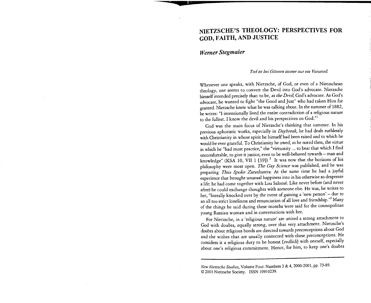# **NIETZSCHE'S THEOLOGY: PERSPECTIVES FOR GOD, FAITH, AND JUSTICE**

*Werner Stegmaier* 

### *Tod ist bei Göttern immer nur ein Vorurteil.*

Whenever one speaks, with Nietzsche, of God, or even of a Nietzschean theology, one seems to convert the Devil into God's advocate. Nietzsche himself intended precisely that: to be, *as the Devil,* God's advocate. As God's advocate, he wanted to fight "the Good and Just" who had taken Him for granted. Nietzsche knew what he was talking about. In the summer of 1882, he writes: "I intentionally lived the entire contradiction of a religious nature to the fullest. I know the devil and his perspectives on God."'

God was the main focus of Nietzsche's thinking that summer. In his previous aphoristic works, especially in *Daybreak,* he had dealt ruthlessly with Christianity in whose spirit he himself had been raised and to which he would be ever grateful. To Christianity he owed, as he noted then, the virtue in which he "had most practice," the "virtuosity ... to bear that which I find uncomfortable, to give it justice, even to be well-behaved towards — man and knowledge" (KSA 10, VII 1 [39])<sup>2</sup> It was now that the horizons of his philosophy were most open. *The Gay Science* was published, and he was preparing *Thus Spoke Zarathustra.* At the same time he had a joyful experience that brought unusual happiness into in his otherwise so desperate a life: he had come together with Lou Salome. Like never before (and never after) he could exchange thoughts with someone else. He was, he writes to her, "literally knocked over by the event of gaining a 'new person' — due to an all too strict loneliness and renunciation of all love and friendship."3 Many of the things he said during these months 'were said for the cosmopolitan young Russian woman and in conversations with her.

For Nietzsche, in a 'religious nature' are united a strong attachment to God with doubts, equally strong, over that very attachment. Nietzsche's doubts about religious bonds are directed towards preconceptions about God and the wishes that are usually connected with these preconceptions. He considers it a religious duty to be honest *[redlich)* with oneself, especially about one's religious commitment. Hence, for him, to keep one's doubts

*New Nietzsche Studies,* Volume Four: Numbers 3 & 4,2000-2001, pp. 73-89. © 2001 Nietzsche Society. ISSN 10910239.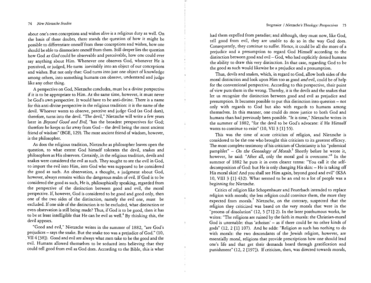# <sup>74</sup>*New Nietzsche Studies* Stegmaier / *Nietzsche's Theology: Perspectives* <sup>75</sup>

about one's own conceptions and wishes alive is a religious duty as well. On the basis of these doubts, there stands the question of how it might be possible to differentiate oneself from these conceptions and wishes, how one should be able to disassociate oneself from them. Still deeper lies the question how God *as God* could be observable and perceivable, how one could ever say anything about Him. Whenever one observes God, whenever He is perceived, or judged, He turns inevitably into an object of our conceptions and wishes. But not only that: God turns into just one object of knowledge among others, into something humans can observe, understand and judge like any other thing.

A perspective on God, Nietzsche concludes, must be a divine perspective if it is to be appropriate to Him. At the same time, however, it must never be God's own perspective. It would have to be anti-divine. There is a name for this anti-divine perspective in the religious tradition: it is the name of the devil. Whoever wants to observe, perceive and judge God (as God does), therefore, turns into the devil. "The devil," Nietzsche will write a few years later in *Beyond Good and Evil,* "has the broadest perspectives for God; therefore he keeps so far away from God — the devil being the most ancient friend of wisdom" (BGE, 129). The most ancient friend of wisdom, however, is the philosopher.

As does the religious tradition, Nietzsche as philosopher leaves open the question, to what extent God himself tolerates the devil, snakes and philosophers as His observers. Certainly, in the religious tradition, devils and snakes were considered the evil as such. They sought to see the evil in God, to import the evil into Him, into God who was supposed to be considered the good as such. An observation, a thought, a judgment about God, however, always remains within the dangerous realm of evil. If God is to be considered the good as such, He is, philosophically speaking, regarded from the perspective of the distinction between good and evil, the moral perspective. If, however, God is considered to be good and good only, then one of the two sides of the distinction, namely the evil one, must be excluded. If one side of the distinction is to be excluded, what distinction or even observation is still being made? Thus, if God is to be good, then it has to be at least intelligible that He can be evil as well.<sup>4</sup> By thinking this, the devil appears.

 $\ddot{\cdot}$ 

ĵ.

"Good and evil," Nietzsche writes in the summer of 1882, "are God's prejudices — says the snake. But the snake too was a prejudice of God." (10, VII 4 [381). Good and evil are always what men take to be the good and the evil. Humans allowed themselves to be seduced into believing that they could tell good from evil as God does. According to the Bible, this is what had them expelled from paradise; and although, they must now, like God, tell good from evil, they are unable to do so in the way God does. Consequently, they continue to suffer. Hence, it could be all the more of a prejudice and a presumption to regard God Himself according to the distinction between good and evil — God, who had explicitly denied humans the ability to draw this very distinction. In that case, regarding God to be the good as such would likewise be a prejudice and a presumption.

Thus, devils and snakes, which, in regard to God, allow both sides of the moral distinction and look upon Him too as good *and evil,* could be of help for the conventional perspective. According to this perspective, their point of view puts them in the wrong. Thereby, it is the devils and the snakes that let us recognize the distinction between good and evil as prejudice and presumption. It becomes possible to put this distinction into question — not only with regards to God but also with regards to humans among themselves. In this manner, one could do more justice to both God and humans than had previously been possible. "It is time," Nietzsche writes in the summer of 1882, "for the devil to be God's advocate: if He Himself wants to continue to exist" (10, VII 3 [1] 55).

This was the time of acute criticism of religion, and Nietzsche is considered to be the one who brought this criticism to its greatest efficacy. The most complete testimony of his criticism of Christianity is his "polemical pamphlet" - *On the Genealogy of Morals*.<sup>5</sup> Shortly before he wrote it, however, he said: "After all, only the moral god is overcome."<sup>6</sup> In the summer of 1882 he puts it in even clearer terms: "You call it the selfdecomposition of God: but He is only changing His skin: — He is taking off His moral skin! And you shall see Him again, beyond good and evil" (KSA 10, VIII 3 [11 432). What seemed to be an end to a lot of people was a beginning for Nietzsche.

Critics of religion like Schopenhauer and Feuerbach intended to replace religion with morals; the less religion could convince them, the more they expected from morals.<sup>7</sup> Nietzsche, on the contrary, suspected that the religion they criticized was based on the very morals that were in the "process of dissolution" (12, 5 [71) 2). In the later posthumous works, he writes: "The religions are ruined by the faith in morals: the Christian-moral God is untenable: thus 'atheism' — as if there could be no other kinds of gods" (12, 2 [1) 107). And he adds: "Religion as such has nothing to do with morals: the two descendants of the Jewish religion, however, are essentially moral, religions that provide prescriptions how one should lead one's life and that get their demands heard through gratification and punishment" (12, 2 [1971). If criticism, then, was directed towards morals,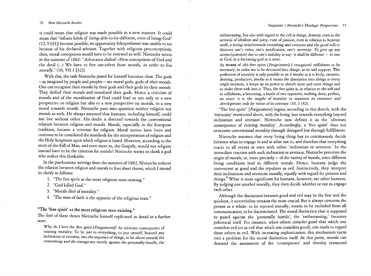it could mean that religion was made possible in a new manner. It could mean that "infinite kinds of being-able-to-be-different, even of being-God" (12, 9 [431) become possible, an opportunity Schopenhauer was unable to see because of his declared atheism. Together with religious preconceptions, then, moral conceptions would have to be renewed as well. Nietzsche writes in the summer of 1882: *"Advocatus diaboli—New* conceptions of God and the devil (...) We have to free our-selves from morals, *in order to live morally."* (10, VII 1 [32)).

With this, the task Nietzsche posed for himself becomes clear. The gods — as imagined by people and peoples — are moral gods, gods of *their* morals. One can recognize their morals by their gods and their gods by their morals. They deified their morals and moralized their gods. Hence a criticism of morals and of the moralization of God could lead us not only to a new perspective on religion but also to a new perspective on morals, to a new moral towards morals. Nietzsche puts into question neither religion nor morals as such. He always assumed that humans, including himself, could not live without either. His doubt is directed towards the conventional relation between religion and morals. Morals, especially in the European tradition, became a criterion for religion. Moral norms have been and continue to be considered the standards for the interpretation of religion and the Holy Scriptures upon which religion is based. However, according to the story of the Fall of Man, and even more so, the Gospels, would not religion instead have to be the criterion for morals? Nietzsche wants to think a god who makes this thinkable.

In the posthumous writings from the summer of 1882, Nietzsche reduces the relation between religion and morals to four short theses, which I intend to clarify as follows:

÷

- 1. "The free spirit as the most religious man existing."
- 2. "God killed God."
- 3. "Morals died of morality."
- 4. "The man of faith is the opposite of the religious man."

"The 'free spirit' as the most religious man existing."

The first of these theses Nietzsche himself explicated in detail in a further note:

Why do I love the *free spirit [Freigeisterei)?* As ultimate consequence of existing morality. To be *just* to everything, to put oneself, beyond any inclination or aversion, into the sequence of things, to be *above oneself;* the *overcoming and the courage* not merely against the personally-hostile, the

embarrassing, but also with regard to the evil in things, *honesty,* even as the nemesis of idealism and piety, even of passion, even in relation to honesty itself; *a loving mind* towards everything and everyone and the good will to discover one's *value,* one's justification, one's *necessity. To give up any action* (quietism) due to one's inability to say: 'it shall be different' – to rest in God, in a *becoming* god as it were.

As means of *this* free spirit *[Freigeisterei)* I recognized *selfishness* to be necessary, in order not to be devoured into things: as tie and support. This perfection of morality is only possible in an  $I$ : insofar as it is lively, creative, desiring, productive, insofar as it resists the absorption into things in every single moment, it keeps up its power to absorb more and more things and to make them sink into it. Thus, the free spirit is, in relation to the self and to selfishness, a becoming, a battle of two opposites, nothing done, perfect, no state: it is *the insight of morality to maintain its existence and development only by virtue of its contrary.* (10, 1 [42).

"The free spirit" *[Freigeisterell* begins, according to this sketch, with the 'virtuosity' mentioned above, with the being 'just towards everything beyond inclination and aversion'. Nietzsche now defines it as the 'ultimate consequence of existing morality'. Accordingly, a 'free spirit' does not overcome conventional morality through disregard but through fulfillment.

Nietzsche assumes that every living thing has to continuously decide between what to engage in and in what not to, and therefore that everything reacts to all events at once with either 'inclination or aversion.' In the immediate reaction with such inclination or aversion, Nietzsche perceives the origin of morals; or, more precisely — of the variety of morals, since different living conditions lead to different morals. Hence, humans judge the convenient as good and the repulsive as evil. Instinctively, they interpret their inclinations and aversions morally, equally with regard for persons and things.<sup>8</sup> What is most significant for humans, however, are other humans. By judging one anothei morally, they then decide whether or not to engage each other.

Although the distinction between good and evil may be the first and the quickest, it nevertheless remains the most crucial. For it always concerns the person as a whole: to be rejected morally, means to be excluded from all communication, to be discriminated. The moral distinction that is supposed to guard against the `personally hostile', the `embarrassing,' becomes polemical itself. For instance, when others consider good that which one considers evil (or as evil that which one considers good), one tends to regard those others as evil. With increasing sophistication, this mechanism turns into a problem for the moral distinction itself. At this point, morals can demand the assessment of the `consequence' and thereby transcend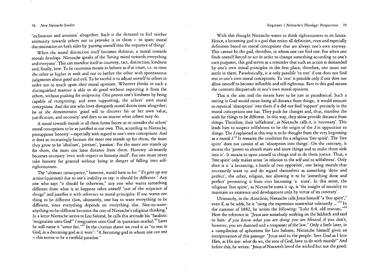### 78 *New Nietzsche Studies* Stegmaier / *Nietzsche's Theology: Perspectives* 79

'inclination and aversion' altogether. Such is the demand to feel neither animosity towards others nor to provoke it in them — to spare moral discrimination on both sides by 'putting oneself into the sequence of things'.

When the moral distinction itself becomes dubious, a moral towards morals develops. Nietzsche speaks of the 'loving mind towards everything and everyone'. This can manifest itself as courtesy, tact, distinction, kindness and, finally, love. To be courteous means to behave as if at court, i.e. to treat the other as higher in rank and not to bother the other with spontaneous judgments about good and evil. To be tactful is to adjust oneself to others in order not to touch upon *their* moral opinions. Whoever thinks in such a distinguished manner is able to *do* good without expecting it from the others, without pushing for reciprocity. One proves one's kindness by being capable of recognizing, and even supporting, the others' own moral conceptions. And the one who loves disregards moral distinctions altogether; he or she demonstrates 'good will to discover his or her own value, justification, and necessity' and does so no matter what others may do.

A moral towards morals in all these forms forces us to consider the others' moral conceptions to be as justified as our own. This, according to Nietzsche, presupposes 'honesty' — especially with regard to one's own conceptions. And it does so increasingly because the more one stands up for them, the more they grow to be 'idealism', 'pietism', 'passion'. For the more one stands up for them, the more one loses distance from them. Honesty ultimately becomes necessary 'even with respect to honesty itself'. For one must never take honesty for granted without being in danger of falling into selfrighteousness.

The "ultimate consequence," however, would have to be: "*To give up any action* (quietism) due to one's inability to say: it should be different." Any one who says "it should be otherwise," any one who wants something different from what is or happens takes oneself "out of the sequence of things" and justifies it with reference to moral principles. If one wants one thing to be different then, ultimately, one has to want everything to be different, since everything depends on everything else. Not-to-wantanything-to-be-different becomes the core of Nietzsche's religious thinking.<sup>9</sup> In a letter Nietzsche writes to Lou Salome, he calls this attitude his "fatalistic 'resignation unto God"' ('resignation unto God' in quotation marks).<sup>10</sup> Later he will name it "amor fati."<sup>11</sup> In the citation above we read it as "to rest in God, in a *becoming* god as it were": "A *becoming* god in whom one can rest — this seems to be a twofold paradox."

With this thought Nietzsche wants to think righteousness to its limits. Hence, a becoming god is a god that resists all definition, even and especially definition based on moral conceptions that are always one's own anyway. This cannot be the god, therefore, in whom one can find rest. For when one finds oneself forced to act in order to change something according to one's own purposes, this god serves as a reminder that such an action is demanded by one's own moral principles in the first place; therefore, one must not settle in them. Paradoxically, it is only possible 'to rest' if one does not find rest in one's own moral conceptions. To 'rest' is possible only if one does not allow oneself to become inflexible and self-righteous. Rest in this god means the constant disquietude in one's own moral opinions.

This is the aim and the means have to be just as paradoxical. Such a resting in God would mean losing all distance from things; it would amount to mystical 'absorption' into them if it did not find 'support' precisely in the moral conceptions one has. They push for changes and, thus, manifest the wish for things to be different. In this way, they alone provide distance from things. Therefore, their 'selfishness', as Nietzsche calls it, is 'necessary'. This leads him to suspect selfishness to be the origin of the  $I$  in opposition to things. The *Iexplained* in this way is to be thought from the very beginning as a moral  $I<sup>12</sup>$  It remains the condition for a religious 'free spirit'. The 'free spirit' does not consist of an 'absorption into things'. On the contrary, it means the 'power to absorb more and more things and to make them sink into it'. It means to open oneself to things and to do them justice. Thus, a 'free spirit' only makes sense 'in relation to the self and to selfishness'. Only then is it 'a becoming, a battle of two opposites', one being morals that necessarily want to and do regard themselves as something 'done and perfect', the other, religion, not allowing it to be 'something done and perfect' preventing it from ever becoming 'a state'. In this sense, the religious 'free spirit', as Nietzsche sums it up, is 'the insight of morality to maintain its existence and development only by virtue of its contrary'.

Ultimately, in the *Antichrist,* Nietzsche calls Jesus himself "a 'free spirit'," even if, as he adds, he is "using the expression somewhat tolerantly ..."<sup>13</sup> In the summer of 1882, he writes the following: "Luke 6:4. old manusc."14 Here the reference is: "Jesus saw somebody working on the Sabbath and said to him: *if you know what you are doing you are blessed;* if you don't, however, you are damned and a trespasser of the law." Only a little later, in a compilation of aphorisms for Lou Salome, Nietzsche himself gives an interpretation of this passage: "Jesus said to the people: 'love God as I love Him, as His son: what do we, the sons of God, have to do with morals!" And before this, he writes: "Jesus of Nazareth loved the wicked but not the good: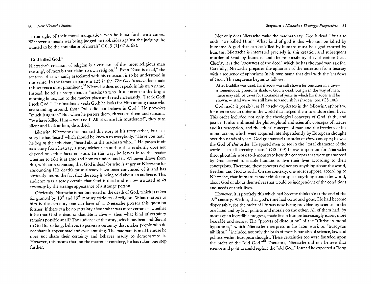### 80 *New Nietzsche Studies* Stegmaier / *IVietzsche's Theology: Perspectives* 81

at the sight of their moral indignation even he burst forth with curses. Wherever someone was being judged he took.sides against the judging: he wanted to be the annihilator of morals" (10, 3 [1] 67  $\&$  68).

### "God killed God."

Nietzsche's criticism of religion is a criticism of the 'most religious man existing', of morals that claim to own religion.<sup>15</sup> Even "God is dead," the sentence that is mainly associated with his criticism, is to be understood in this sense. In the famous aphorism 125 in the *The Gay Science* that made this sentence most prominent,<sup>16</sup> Nietzsche does not speak in his own name. Instead, he tells a story about a "madman who lit a lantern in the bright morning hours, ran to the market place and cried incessantly: 'I seek God! I seek God!" The 'madman' *seeks* God; he looks for Him among those who are standing around, those "who did not believe in God." He provokes much laughter." But when he pesters them, threatens them and screams: "We have killed Him — you and I! All of us are His murderers!", they turn silent and look at him, disturbed.

Likewise, Nietzsche does not tell this story as his story either, but as a story he has 'heard' which should be known to everybody. "Have you not," he begins the aphorism, "heard about the madman who..." He passes it off as a story from hearsay, a story without an author that evidently does not depend on either facts or truth. In this way, he leaves it to the reader whether to take it as true and how to understand it. Whoever draws from this, without reservation, that God is dead (or who is angry at Nietzsche for announcing His death) must already have been convinced of it and has obviously missed the fact that the story is being told about an audience. This audience was already certain that God is dead and is now irritated *in its certainty* by the strange appearance of a strange person.

Obviously, Nietzsche is not interested in the death of God, which is taken for granted by  $18<sup>th</sup>$  and  $19<sup>th</sup>$  century critiques of religion. What matters to him is the certainty one can have of it. Nietzsche presses this question further: If there can be no certainty about what was most certain — whether it be that God is dead or that He is alive — then what kind of certainty remains possible at all? The audience of the story, which has been indifferent to God for so long, believes to possess a certainty that makes people who do not share it appear mad and even amusing. The madman is mad because he does not share their certainty and behaves madly to demonstrate it. However, this means that, on the matter of certainty, he has taken one step further.

Not only does Nietzsche make the madman say "God is dead!" but also adds, "we killed Him!" What kind of god is this who can be killed by humans? A god that can be killed by humans must be a god created by humans. Nietzsche is interested precisely in this creation and subsequent murder of God by humans, and the responsibility they therefore bear. Chiefly, it is the "greatness of the deed" which he has the madman ask for. Carefully, Nietzsche prepares the aphorism of the narration from hearsay with a sequence of aphorisms in his own name that deal with the 'shadows of God'. This sequence begins as follows:

After Buddha was dead, his shadow was still shown for centuries in a cave a tremendous, gruesome shadow. God is dead; but given the way of men, there may still be caves for thousands of years in which his shadow will be shown. — And we — we still have to vanquish his shadow, too. (GS 108)

God made it possible, as Nietzsche explicates in the following aphorism, for men to see an order in the world that helped them to endure their lives. This order included not only the theological concepts of God, faith, and justice. It also embraced the philosophical and scientific concepts of nature and its perception, and the ethical concepts of man and the freedom of his moral action, which were acquired interdependently by European thought over thousands of years. God guaranteed the order of *these* concepts; he was the God of *this* order. He spared men to see in the "total character of the world ... in all eternity chaos." (GS 109) It was important for Nietzsche throughout his work to demonstrate how the concepts that were guaranteed by God served to enable humans to live their lives according to their conceptions. Therefore, those concepts did not say anything about the world, freedom and God as such. On the contrary, one must suppose, according to Nietzsche, that humans cannot think nor speak anything about the world, about God or about themselves that would be independent of the conditions and needs of their lives.

However, it is precisely this which had become thinkable at the end of the 19<sup>th</sup> century. With it, that god's time had come and gone. He had become dispensable, for the order of life was now being provided by science on the one hand and by law, politics and morals on the other. All of them had, by means of an incredible progress, made life in Europe increasingly easier, more bearable and secure. The "process of dissolution" of the "Christian moral hypothesis," which Nietzsche interprets in his later work as "European nihilism,"" included not only the basis of morals but also of science, law and politics within European thought. These certainties too were founded upon the order of the "old God."<sup>18</sup> Therefore, Nietzsche did not believe that science and politics could replace the "old God." Instead he expected a "long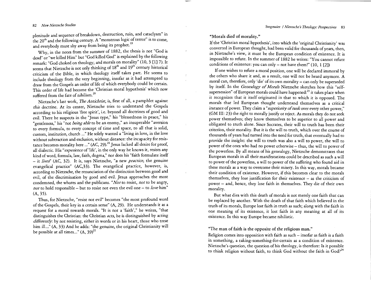plenitude and sequence of breakdown, destruction, ruin, and cataclysm" in the 20" and the following century. A "monstrous logic of terror" is to come, and everybody must shy away from being its prophet.<sup>19</sup>

Why, in the notes from the summer of 1882, the thesis is not "God is dead" or "we killed Him" but "God killed God" is explained by the following remark: "God choked on theology; and morals on morality" (10, 3 [1) 7). It seems that Nietzsche is not only thinking of 18" and 19" century historical criticism of the Bible, in which theology itself takes part. He seems to include theology from the very beginning, insofar as it had attempted to draw from the Gospels an order of life of which everybody could be certain. This order of life had become the 'Christian moral hypothesis' which now suffered from the fate of nihilism.<sup>20</sup>

Nietzsche's last work, *The Antichrist,* is, first of all, a pamphlet against *this* doctrine. At its center, Nietzsche tries to understand the Gospels according to his religious 'free spirit', i.e. beyond all doctrines of good and evil. There he suspects in the "Jesus type," his "blessedness in peace," his "gentleness," his "not *being able* to be an enemy," an insuperable "aversion to every formula, to every concept of time and space, to all that is solid, custom, institution, church ..." He solely wanted a "living in love, in the love without subtraction and exclusion, without distance: the incapacity for resistance becomes morality here ..." (AC, 29).<sup>21</sup> Jesus lacked all desire for proof, all dialectic. His *"experience* of 'life', in the only way he knows it, resists any kind of word, formula, law, faith, dogma," nor does his "faith formulate itself — it *lives"* (AC, 32). It is, says Nietzsche, "a new *practice,* the genuine evangelical practice" (AC,33). The evangelical practice, however, is, according to Nietzsche, the renunciation of the distinction between good and evil, of the discrimination by good and evil. Jesus approaches the most condemned, the whores and the publicans. *"Not* to resist, *not* to be angry, *not* to hold responsible — but to resist not even the evil one — to *love* him" (A, 35).

Thus, for Nietzsche, "resist not evil" becomes "the most profound word of the Gospels, their key in a certain sense" (A, 29). He understands it as a request for a moral towards morals. "It is not a 'faith'," he writes, "that distinguishes the Christian: the Christian *acts,* he is distinguished by acting *differently*: by not resisting, either in words or in his heart, those who treat him ill..." (A, 33) And he adds: "the genuine, the original Christianity will be possible at all times..."  $(A, 39)^{22}$ 

# "Morals died of morality."

If the 'Christian moral hypothesis', into which the 'original Christianity' was converted in European thought, had been valid for thousands of years, then, in Nietzsche's view, it must be the European condition of existence. It is impossible to refute. In the summer of 1882 he writes: "You cannot refute conditions of existence: you can only – not have them!"  $(10, 1$   $[2])$ 

If one wishes to refute a moral position, one will be declared immoral by the others who share it and, as a result, one will not be heard anymore. A moral can, therefore, only 'die' of its own morality — can only be superseded by itself. In the *Genealogy of Morals* Nietzsche sketches how this "selfsupersession" of European morals could have happened: $^{23}$  it takes place when it recognizes that it itself originated in that to which it is opposed. The morals that led European thought understand themselves as a critical instance of power. They claim a *"superiority of rank* over every other power," (GM III: 23) the right to morally justify or reject. As morals they do not seek power themselves; they know themselves to be superior to all power and obligated to truth alone. Since Socrates, their will to truth has been their criterion, their morality. But it is the will to truth, which over the course of thousands of years had turned into the need for truth, that eventually had to provide the insight: the will to truth was also a will to power, the will to power of the ones who had no power otherwise — thus, the will to power of the powerless. By all means of his genealogy, Nietzsche demonstrates that European morals in all their manifestations could be described as such a will to power of the powerless, a will to power of the suffering who found aid in these morals as a way to overcome their misery. In this way, morals became their condition of existence. However, if this becomes clear to the morals themselves, they lose justification for their existence — as the criticism of power — and, hence, they lose faith in themselves. They die of their own morality.

But what dies with this death of morals is not merely one faith that can be replaced by another. With the death of that faith which believed in the truth of its morals, Europe lost faith in truth as such; along with the faith in one meaning of its existence, it lost faith in any meaning at all of its existence. In this way Europe became nihilistic.

# "The man of faith is the opposite of the religious man."

Religion comes into opposition with faith as such — insofar as faith is a faith in something, a taking-something-for-certain as a condition of existence. Nietzsche's question, the question of his theology, is therefore: Is it possible to think religion without faith, to think God without the faith in  $God$ <sup>24</sup>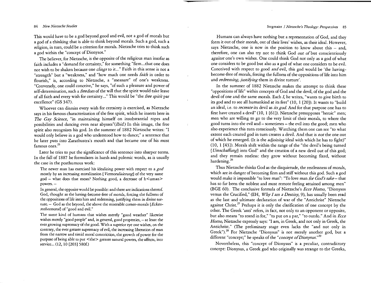# 84 *New Nietzsche Studies* Stegmaier / *1Vietzsche's Theology: Perspectives* 85

This would have to be a god beyond good and evil, not a god of morals but a god of a thinking that is able to think beyond morals. Such a god, such a religion, in turn, could be a criterion for morals. Nietzsche tries to think such a god within the "concept of Dionysos."

The believer, for Nietzsche, is the opposite of the religious man insofar as faith includes a "demand for certainty," for something "firm.. .that one does not wish to be shaken because one *clings* to it..." Faith in this sense is not a "strength" but a "weakness," and "how much one needs *faith* in order to flourish," is, according to Nietzsche, a "measure" of one's weakness. "Conversely, one could conceive," he says, "of such a pleasure and power of self-determination, such a *freedom* of the will that the spirit would take leave of all faith and every wish for certainty..." This would be "the *free spirit* par excellence" (GS 347).

Whoever can dismiss every wish for certainty is exercised, as Nietzsche says in his famous characterization of the free spirit, which he inserts here in *The Gay Science,* "in maintaining himself on insubstantial ropes and possibilities and dancing even near abysses"(Ibid.) In this image, the free spirit also recognizes his god. In the summer of 1882 Nietzsche writes: "I would only believe in a god who understood how to dance;" a sentence that he later puts into Zarathustra's mouth and that became one of his most famous ones.<sup>25</sup>

Later he tries to put the significance of this sentence into sharper terms. In the fall of 1887 he formulates in harsh and polemic words, as is usually the case in the posthumous work:

The newer man has exercised his idealizing power with respect to a *god*  mostly by an increasing moralization [ *Vermoralisierung]* of the very same  $\text{god}$  – what does that mean? Nothing good, a decrease of h $\text{Suman}$ powers. —

In general, the opposite would be possible: and there are indications thereof. God, thought as the having-become-free of morals, forcing the fullness of the oppositions of life into him and redeeming, justifying them in divine torture. — God as the beyond, the above the miserable corner-morals *[Eckensrehermorall* of "good and evil."

The same kind of humans that wishes merely "good weather" likewise wishes merely "good people" and, in general, good properties, — at least the ever growing supremacy of the good. With a superior eye one wishes, on the contrary, the ever greater supremacy of evil, the increasing liberation of man from the narrow and timid moral constriction, the growth of power for the purpose of being able to put <the> greater natural powers, the affects, into service... (12, 10 [203) 580f.)

Humans can always have nothing but a representation of God, and they form it out of their morals, out of their lives' wishes, as their ideal. However, says Nietzsche, one is now in the position to know about this — and, therefore, one can also try not to think God *out of* but conscientiously *against* one's own wishes. One could think God not only as a god of what one considers to be good but also as a god of what one considers to be evil. Conceived with respect to good *and* evil, this god would be 'the havingbecome-free of morals, forcing the fullness of the oppositions of life into him and *redeeming, justifying* them in divine torture'.

In the summer of 1882 Nietzsche makes the attempt to think these "oppositions of life" within concepts of God and the devil, of the god and the devil of one and the same morals. Each I*,* he writes, "wants to give birth to its god and to see all humankind at its feet" (10, 1 [201). It wants to "build an ideal, i.e. to *recreate* its devil as *its god.* And for that purpose one has to first have created a devil" (10, 1 [611). Nietzsche presupposes "heroic" men; men who are willing to go to the very limit of their morals, to where the good turns into the evil and — sometimes — the evil into the good; men who also experience this turn consciously. Watching them one can see "to what extent each created god in turn creates a devil. And that is *not* the one out of which he emerged. (It is the *adjoining* ideal with which he has to fight)" (10, 1 [431). Morals shift within the range of the "the devil's being turned *[Umschaffung)* into God" and the creation of a new devil out of this god; and they remain restless: they grow without becoming fixed, without hardening.<sup>26</sup>

Thus Nietzsche thinks God as the disquietude, the restlessness of morals, which are in danger of becoming firm and stiff without this god. Such a god would make it impossible "to love man": "To love man *for God's sake—* that has so far been the noblest and most remote feeling attained among men" (BGE 60). The conclusive formula of Nietzsche's *Ecce Homo,* "Dionysos versus the Crucified," (EH, *Why Jam a Destiny,* 9), has usually been read as the last and ultimate declaration of war of the "Antichrist" Nietzsche against Christ.<sup>27</sup> Perhaps it is only the clarification of one concept by the other. The Greek 'anti' refers, in fact, not only to an opponent or opposite, but also means "to stand in for," "to put on a par," "to outdo." And in *Ecce Homo,* Nietzsche expressly says: "I am, in Greek, and not only in Greek, the Antichrist." (The preliminary stage even lacks the "and not only in Greek").<sup>28</sup> For Nietzsche "Dionysus" is not merely another god, but a different "concept;" he speaks of the *"concept of Dionysus."29* 

Nevertheless, this "concept of Dionysus" is a peculiar, contradictory concept: Dionysus, a Greek god who originally was strange to the Greeks,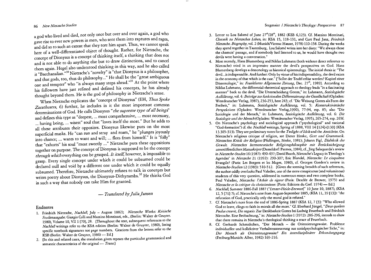# 86 *New Nietzsche Studies*

a god who lived and died, not only once but over and over again, a god who gave rise to ever new powers in men, who sent them into raptures and rages, and did so to such an extent that they tore him apart. Thus, we cannot speak here of a well-differentiated object of thought. Rather, for Nietzsche, the concept of Dionysus is a concept of thinking itself, a thinking that does not and is not able to do anything else but to draw distinctions, and to cancel them again. Hegel also understood thinking in this way, and he also called it "Bacchanalian."30 Nietzsche's "novelty" is "that Dionysus is a philosopher, and that gods, too, thus do philosophy..." He shall be the "great ambiguous one and tempter" who "is always many steps ahead."<sup>31</sup> At the point where his followers have just refined and defined his concepts, he has already thought beyond them. He is the god of philosophy in Nietzsche's sense.

When Nietzsche explicates the "concept of Dionysus" (EH, *Thus Spoke Zarathustra,* 6) further, he includes in it the most important common determinations of God. He calls Dionysus *"the supreme type of all beings"*  and defines this type as "deepest, ... most comprehensive, ... most necessary, ... having being, ... wisest" soul that "loves itself the most." But he adds to all these attributes their opposites. Dionysus likewise puts on the most superficial masks. He "can run and stray and roam," he "plunges joyously into chance; ... wants to want and will; ... flees from himself." It is "folly" that "exhorts" his soul "most sweetly ..." Nietzsche puts these oppositions together on purpose. The concept of Dionysus is supposed to be the concept *through which* everything can be grasped. *It itself;* however, is impossible to grasp. Every single concept under which it could be subsumed could be declared null and void by a different one under which it could be equally subsumed. Therefore, Nietzsche ultimately refuses to talk in concepts but writes poetry about Dionysus, the Dionysus-Dithyrambs.<sup>32</sup> He thinks God in such a way that nobody can take Him for granted.

# *— Translated by Julia Jansen*

### Endnotes

- 1. Friedrich Nietzsche, *Nachlaß,* July August 1882); *Nietzsche Werke: Kritische Studienausgabe.* Giorgio Colli and Mazzino Montinari, eds., (Berlin: Walter de Gruyter. 1980), Volume 10, VII 1 [701, 28. [Throughout the text, subsequent references to the *Nachlaß* writings refer to the KSA edition (Berlin: Walter de Gruyter, 1980), listing specific notebook signatures not page numbers. Citations from the letters refer to the KSB (Berlin: Walter de Gruyter, 1986) — Ed.)
- 2. [In this and related cases, the translation given repeats the particular grammatical and semantic characteristics of the original — *Trans.)*
- 3. Letter to Lou Salomé of June 27<sup>th</sup>/28<sup>th</sup>, 1882 (KSB 6,123). Cf. Mazzino Montinari, *Chronik zu Nietzsches Leben,* in: KSA 15, 118-131, and Curt Paul Janz, *Friedrich Nietzsche. Biography,* vol. 2 (Munich/Vienna: Hanser, 1978) 110-158. During the weeks they spend together in Tautenburg, Lou Salome writes into her diary: "We always chose the chamois' passage, and if somebody had listened to us, he would have thought two devils were having a conversation."
- 4. Most recently, Hans Blumenberg and Niklas Luhmann (both without direct reference to Nietzsche) tried in an impressive manner the devil's perspectives on God. Hans Blumenberg develops a demonology as historical epistemology. The initial thesis is: "The devil...is indispensable. And further: Only by virtue of his indispensability, the devil exists in the economy of that which is the case." ["Sollte der Teufel erlöst werden? Kapitel einer Dämonologie," in: *Frankfurter Allgemeine Zeitung,* Dec. 27rh, 19891. According to Niklas Luhmann, the differential-theoretical approach to theology leads "in a fascinating manner" back to the devil. "Die Unterscheidung Gottes," in: Luhmann, *Soziologische Aufklärung,* vol. 4: *Beitrage zur funktionalen Differenzierung der Gesellschaft* (Opladen: Westdeutscher Verlag, 1987), 236-253, here 243; cf. "Die Weisung Gottes als Form der Freiheit," in: Luhmann, *Soziologische Aufklärung,* vol. 5: *Konstruktivistische Perspektiven* (Opladen: Westdeutscher Verlag,1990), 77-94, esp. 85; also "Die Soziologie und der Mensch," in: Luhmann, *Soziologische Aufklärung,* vol. 6: *Die Soziologie und der Mensch* (Opladen: Westdeutscher Verlag, 1995), 265-274, esp. 265f.
- 5. On Nietzsche's psychology and sociological approach ("psychological" and national "God-formation") cf. the *Nachlaß* writings, Spring of 1888, VIII 14 [124]-[130] (KSA 13.305-313). They are preliminary notes for the *Twilight of Idols* and the *Antichrist.* On Nietzsche's religious critique of religion, see Dieter Henke, *Gott und Grammatik. Nietzsches Kritik der Religion* (Pfullingen, Neske, 1981); Johann Figl, *Dialektik der Gewalt. Nietzsches hermeneutische Religionsphilosophie mit Berücksichtigung unveröffentlichter Manuskripte* (Dusseldorf: Patmos, 1984), cf., Jörg Salaquarda's review *in Nietzsche-Studies* 16(1987): 490-497; David Booth, Nietzsche's Legacy in Theology's Agendas" in *Nietzsche* 21(1992): 290-307; Eric Blondel, *Nietzsche: Le cinquierne*  Evangile? (Paris: Les Bergers et les Mages, 1980), cf. Georges Goedert's review in *Nietzsche-Studien* 12(1983): 510-512. [Given the seeming breadth of such references, the author oddly overlooks Paul Valadier, one of the more conspicuous (and voluminous) students of this very question, addressed in numerous essays and two complete books, Paul Valadier, *Nietzsche: l'Athée de rigeur* (Paris: Desclée de Brower, 1975) and *Nietzsche et la critique du christianisme.* (Paris: Editions du Cerf. 1974) — Ed.]
- *6. Nachlaß,* Summer 1886-Fall 1887 *("Lenzer-Heide-Entwurl;"* 10 June 10, 1887), (KSA 12, 5 [71]7); cf. Nietzsche's note from August-September 1885, (KSA 11, 39(13)): "the refutation of God, practically only the moral god is refuted."
- 7. Cf. Nietzsche's note from the end of 1886-Spring 1887 (KSA 12, 7 [3]: "Who allowed God to leave, clings to faith in morals all the more." Cf. Eberhard Jüngel, *"Deus qualem Paulus creavit, Die negatio.* Zur Denkbarkeit Gottes bei Ludwig Feuerbach und Friedrich Nietzsche. Eine Beobachtung," in: *Nietzsche-Studien* 1(1972): 286-296, intends to show that there remains in Nietzsche's theological thinking a trace of Feuerbach.
- 8. Cf. Gerhardt Schmidtchen, "Der Mensch die Orientierungswaise. Probleme individueller und kollektiver Verhaltenssteuerung aus sozialpsychologischer Sicht," *in: Der Mensch als Orientierungswaise? Ein interdisziplinärer Erkundungsgang*  (Freiburg/Munich: Alber, 1982) 169-216.